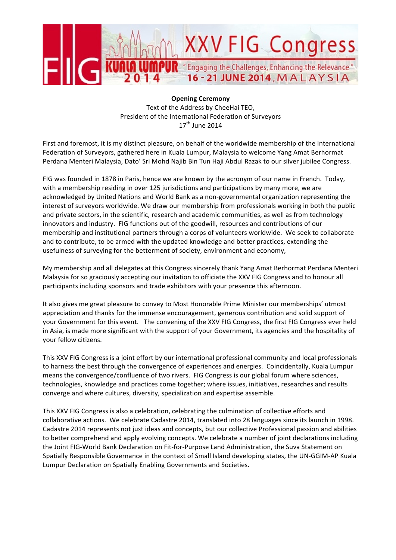

**Opening Ceremony** Text of the Address by CheeHai TEO, President of the International Federation of Survevors  $17<sup>th</sup>$  June 2014

First and foremost, it is my distinct pleasure, on behalf of the worldwide membership of the International Federation of Surveyors, gathered here in Kuala Lumpur, Malaysia to welcome Yang Amat Berhormat Perdana Menteri Malaysia, Dato' Sri Mohd Najib Bin Tun Haji Abdul Razak to our silver jubilee Congress.

FIG was founded in 1878 in Paris, hence we are known by the acronym of our name in French. Today, with a membership residing in over 125 jurisdictions and participations by many more, we are acknowledged by United Nations and World Bank as a non-governmental organization representing the interest of surveyors worldwide. We draw our membership from professionals working in both the public and private sectors, in the scientific, research and academic communities, as well as from technology innovators and industry. FIG functions out of the goodwill, resources and contributions of our membership and institutional partners through a corps of volunteers worldwide. We seek to collaborate and to contribute, to be armed with the updated knowledge and better practices, extending the usefulness of surveying for the betterment of society, environment and economy,

My membership and all delegates at this Congress sincerely thank Yang Amat Berhormat Perdana Menteri Malaysia for so graciously accepting our invitation to officiate the XXV FIG Congress and to honour all participants including sponsors and trade exhibitors with your presence this afternoon.

It also gives me great pleasure to convey to Most Honorable Prime Minister our memberships' utmost appreciation and thanks for the immense encouragement, generous contribution and solid support of your Government for this event. The convening of the XXV FIG Congress, the first FIG Congress ever held in Asia, is made more significant with the support of your Government, its agencies and the hospitality of your fellow citizens.

This XXV FIG Congress is a joint effort by our international professional community and local professionals to harness the best through the convergence of experiences and energies. Coincidentally, Kuala Lumpur means the convergence/confluence of two rivers. FIG Congress is our global forum where sciences, technologies, knowledge and practices come together; where issues, initiatives, researches and results converge and where cultures, diversity, specialization and expertise assemble.

This XXV FIG Congress is also a celebration, celebrating the culmination of collective efforts and collaborative actions. We celebrate Cadastre 2014, translated into 28 languages since its launch in 1998. Cadastre 2014 represents not just ideas and concepts, but our collective Professional passion and abilities to better comprehend and apply evolving concepts. We celebrate a number of joint declarations including the Joint FIG-World Bank Declaration on Fit-for-Purpose Land Administration, the Suva Statement on Spatially Responsible Governance in the context of Small Island developing states, the UN-GGIM-AP Kuala Lumpur Declaration on Spatially Enabling Governments and Societies.